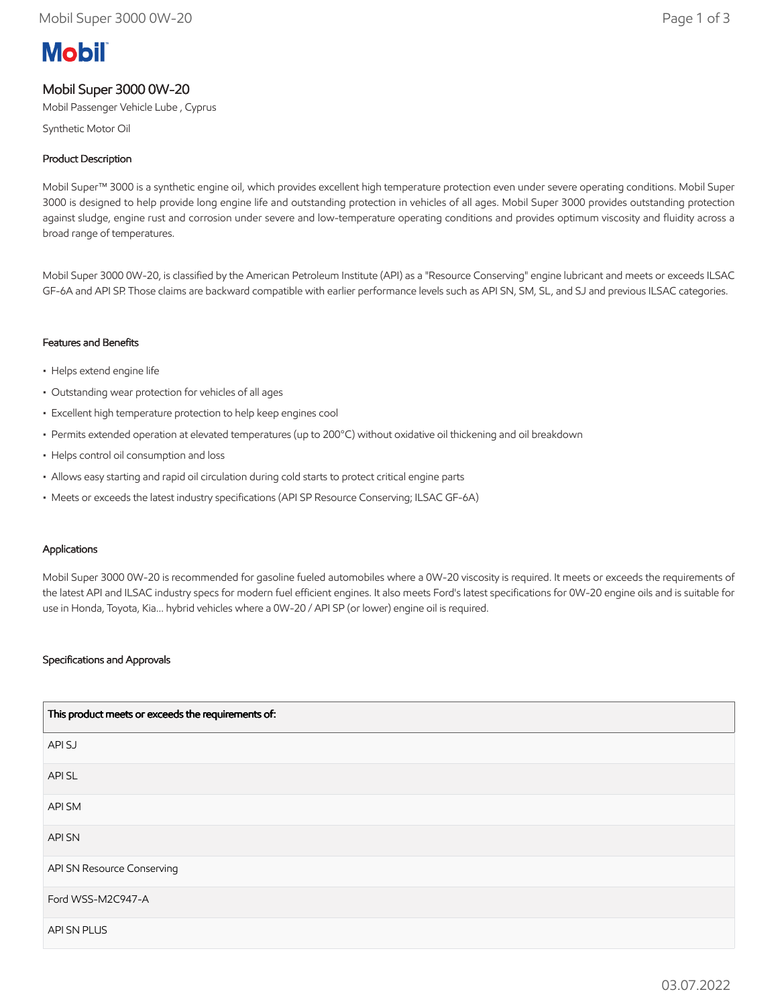# **Mobil**

# Mobil Super 3000 0W-20

Mobil Passenger Vehicle Lube , Cyprus

Synthetic Motor Oil

# Product Description

Mobil Super™ 3000 is a synthetic engine oil, which provides excellent high temperature protection even under severe operating conditions. Mobil Super 3000 is designed to help provide long engine life and outstanding protection in vehicles of all ages. Mobil Super 3000 provides outstanding protection against sludge, engine rust and corrosion under severe and low-temperature operating conditions and provides optimum viscosity and fluidity across a broad range of temperatures.

Mobil Super 3000 0W-20, is classified by the American Petroleum Institute (API) as a "Resource Conserving" engine lubricant and meets or exceeds ILSAC GF-6A and API SP. Those claims are backward compatible with earlier performance levels such as API SN, SM, SL, and SJ and previous ILSAC categories.

## Features and Benefits

- Helps extend engine life
- Outstanding wear protection for vehicles of all ages
- Excellent high temperature protection to help keep engines cool
- Permits extended operation at elevated temperatures (up to 200°C) without oxidative oil thickening and oil breakdown
- Helps control oil consumption and loss
- Allows easy starting and rapid oil circulation during cold starts to protect critical engine parts
- Meets or exceeds the latest industry specifications (API SP Resource Conserving; ILSAC GF-6A)

#### Applications

Mobil Super 3000 0W-20 is recommended for gasoline fueled automobiles where a 0W-20 viscosity is required. It meets or exceeds the requirements of the latest API and ILSAC industry specs for modern fuel efficient engines. It also meets Ford's latest specifications for 0W-20 engine oils and is suitable for use in Honda, Toyota, Kia... hybrid vehicles where a 0W-20 / API SP (or lower) engine oil is required.

## Specifications and Approvals

| This product meets or exceeds the requirements of: |
|----------------------------------------------------|
| API SJ                                             |
| API SL                                             |
| API SM                                             |
| API SN                                             |
| API SN Resource Conserving                         |
| Ford WSS-M2C947-A                                  |
| API SN PLUS                                        |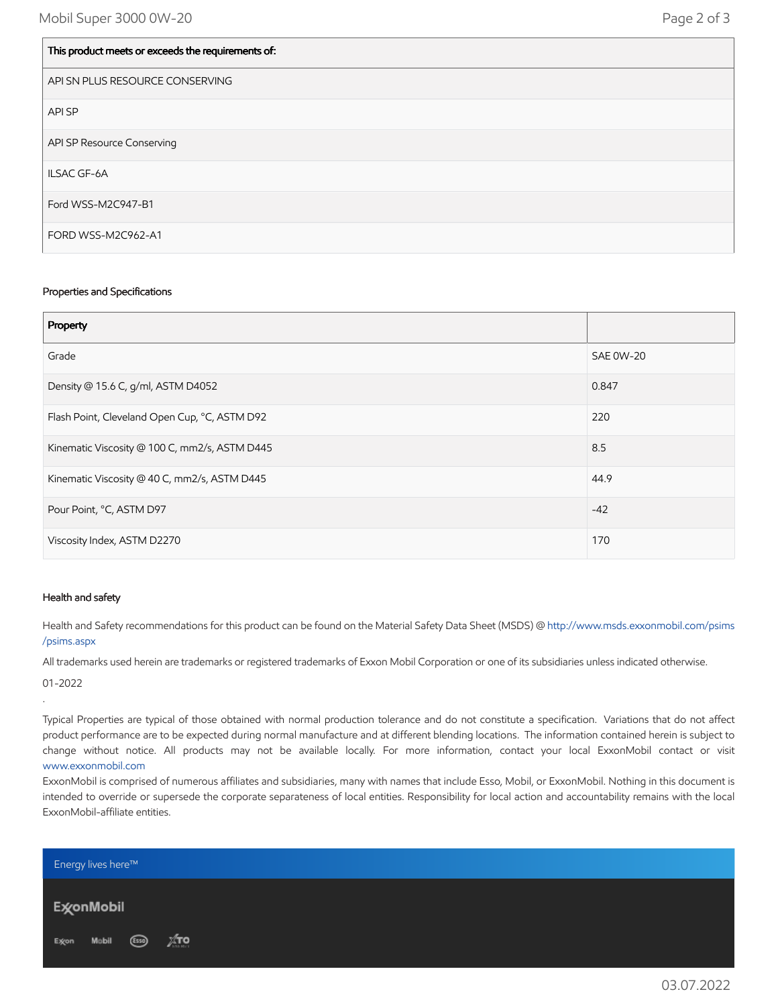$\vert$  This product meets or exceeds the requirements of:

| This product meets or exceeds the requirements of. |
|----------------------------------------------------|
| API SN PLUS RESOURCE CONSERVING                    |
| API SP                                             |
| API SP Resource Conserving                         |
| <b>ILSAC GF-6A</b>                                 |
| Ford WSS-M2C947-B1                                 |
| FORD WSS-M2C962-A1                                 |

#### Properties and Specifications

| Property                                      |                  |
|-----------------------------------------------|------------------|
| Grade                                         | <b>SAE 0W-20</b> |
| Density @ 15.6 C, g/ml, ASTM D4052            | 0.847            |
| Flash Point, Cleveland Open Cup, °C, ASTM D92 | 220              |
| Kinematic Viscosity @ 100 C, mm2/s, ASTM D445 | 8.5              |
| Kinematic Viscosity @ 40 C, mm2/s, ASTM D445  | 44.9             |
| Pour Point, °C, ASTM D97                      | $-42$            |
| Viscosity Index, ASTM D2270                   | 170              |

#### Health and safety

Health and Safety recommendations for this product can be found on the Material Safety Data Sheet (MSDS) @ [http://www.msds.exxonmobil.com/psims](http://www.msds.exxonmobil.com/psims/psims.aspx) /psims.aspx

All trademarks used herein are trademarks or registered trademarks of Exxon Mobil Corporation or one of its subsidiaries unless indicated otherwise.

01-2022

.

Typical Properties are typical of those obtained with normal production tolerance and do not constitute a specification. Variations that do not affect product performance are to be expected during normal manufacture and at different blending locations. The information contained herein is subject to change without notice. All products may not be available locally. For more information, contact your local ExxonMobil contact or visit [www.exxonmobil.com](http://www.exxonmobil.com/)

ExxonMobil is comprised of numerous affiliates and subsidiaries, many with names that include Esso, Mobil, or ExxonMobil. Nothing in this document is intended to override or supersede the corporate separateness of local entities. Responsibility for local action and accountability remains with the local ExxonMobil-affiliate entities.